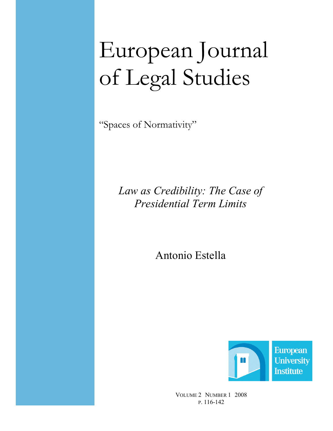# European Journal of Legal Studies

"Spaces of Normativity"

# Law as Credibility: The Case of Presidential Term Limits

Antonio Estella



VOLUME 2 NUMBER 1 2008 P. 116-142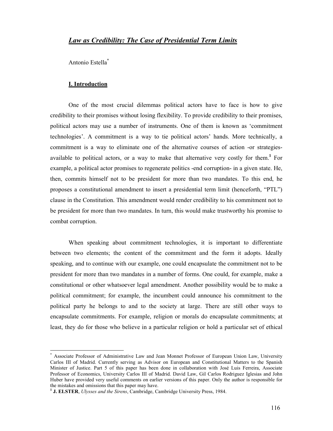### Law as Credibility: The Case of Presidential Term Limits

Antonio Estella\*

#### I. Introduction

 $\overline{a}$ 

One of the most crucial dilemmas political actors have to face is how to give credibility to their promises without losing flexibility. To provide credibility to their promises, political actors may use a number of instruments. One of them is known as 'commitment technologies'. A commitment is a way to tie political actors' hands. More technically, a commitment is a way to eliminate one of the alternative courses of action -or strategiesavailable to political actors, or a way to make that alternative very costly for them.<sup>1</sup> For example, a political actor promises to regenerate politics -end corruption- in a given state. He, then, commits himself not to be president for more than two mandates. To this end, he proposes a constitutional amendment to insert a presidential term limit (henceforth, "PTL") clause in the Constitution. This amendment would render credibility to his commitment not to be president for more than two mandates. In turn, this would make trustworthy his promise to combat corruption.

When speaking about commitment technologies, it is important to differentiate between two elements; the content of the commitment and the form it adopts. Ideally speaking, and to continue with our example, one could encapsulate the commitment not to be president for more than two mandates in a number of forms. One could, for example, make a constitutional or other whatsoever legal amendment. Another possibility would be to make a political commitment; for example, the incumbent could announce his commitment to the political party he belongs to and to the society at large. There are still other ways to encapsulate commitments. For example, religion or morals do encapsulate commitments; at least, they do for those who believe in a particular religion or hold a particular set of ethical

<sup>\*</sup> Associate Professor of Administrative Law and Jean Monnet Professor of European Union Law, University Carlos III of Madrid. Currently serving as Advisor on European and Constitutional Matters to the Spanish Minister of Justice. Part 5 of this paper has been done in collaboration with José Luis Ferreira, Associate Professor of Economics, University Carlos III of Madrid. David Law, Gil Carlos Rodriguez Iglesias and John Huber have provided very useful comments on earlier versions of this paper. Only the author is responsible for the mistakes and omissions that this paper may have.

 $1$  J. ELSTER, Ulysses and the Sirens, Cambridge, Cambridge University Press, 1984.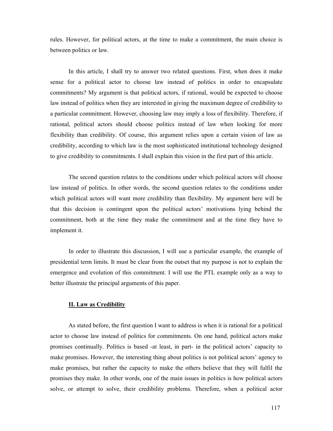rules. However, for political actors, at the time to make a commitment, the main choice is between politics or law.

In this article, I shall try to answer two related questions. First, when does it make sense for a political actor to choose law instead of politics in order to encapsulate commitments? My argument is that political actors, if rational, would be expected to choose law instead of politics when they are interested in giving the maximum degree of credibility to a particular commitment. However, choosing law may imply a loss of flexibility. Therefore, if rational, political actors should choose politics instead of law when looking for more flexibility than credibility. Of course, this argument relies upon a certain vision of law as credibility, according to which law is the most sophisticated institutional technology designed to give credibility to commitments. I shall explain this vision in the first part of this article.

The second question relates to the conditions under which political actors will choose law instead of politics. In other words, the second question relates to the conditions under which political actors will want more credibility than flexibility. My argument here will be that this decision is contingent upon the political actors' motivations lying behind the commitment, both at the time they make the commitment and at the time they have to implement it.

In order to illustrate this discussion, I will use a particular example, the example of presidential term limits. It must be clear from the outset that my purpose is not to explain the emergence and evolution of this commitment. I will use the PTL example only as a way to better illustrate the principal arguments of this paper.

#### II. Law as Credibility

As stated before, the first question I want to address is when it is rational for a political actor to choose law instead of politics for commitments. On one hand, political actors make promises continually. Politics is based -at least, in part- in the political actors' capacity to make promises. However, the interesting thing about politics is not political actors' agency to make promises, but rather the capacity to make the others believe that they will fulfil the promises they make. In other words, one of the main issues in politics is how political actors solve, or attempt to solve, their credibility problems. Therefore, when a political actor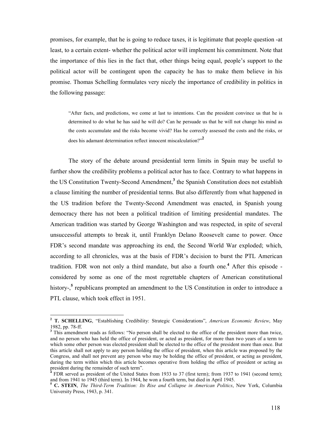promises, for example, that he is going to reduce taxes, it is legitimate that people question -at least, to a certain extent- whether the political actor will implement his commitment. Note that the importance of this lies in the fact that, other things being equal, people's support to the political actor will be contingent upon the capacity he has to make them believe in his promise. Thomas Schelling formulates very nicely the importance of credibility in politics in the following passage:

"After facts, and predictions, we come at last to intentions. Can the president convince us that he is determined to do what he has said he will do? Can he persuade us that he will not change his mind as the costs accumulate and the risks become vivid? Has he correctly assessed the costs and the risks, or does his adamant determination reflect innocent miscalculation?"<sup>2</sup>

The story of the debate around presidential term limits in Spain may be useful to further show the credibility problems a political actor has to face. Contrary to what happens in the US Constitution Twenty-Second Amendment,<sup>3</sup> the Spanish Constitution does not establish a clause limiting the number of presidential terms. But also differently from what happened in the US tradition before the Twenty-Second Amendment was enacted, in Spanish young democracy there has not been a political tradition of limiting presidential mandates. The American tradition was started by George Washington and was respected, in spite of several unsuccessful attempts to break it, until Franklyn Delano Roosevelt came to power. Once FDR's second mandate was approaching its end, the Second World War exploded; which, according to all chronicles, was at the basis of FDR's decision to burst the PTL American tradition. FDR won not only a third mandate, but also a fourth one.<sup>4</sup> After this episode considered by some as one of the most regrettable chapters of American constitutional history-,<sup>5</sup> republicans prompted an amendment to the US Constitution in order to introduce a PTL clause, which took effect in 1951.

 $\overline{\phantom{a}}$ 

<sup>&</sup>lt;sup>2</sup> T. SCHELLING, "Establishing Credibility: Strategic Considerations", American Economic Review, May 1982, pp. 78-ff.

<sup>&</sup>lt;sup>3</sup> This amendment reads as follows: "No person shall be elected to the office of the president more than twice, and no person who has held the office of president, or acted as president, for more than two years of a term to which some other person was elected president shall be elected to the office of the president more than once. But this article shall not apply to any person holding the office of president, when this article was proposed by the Congress, and shall not prevent any person who may be holding the office of president, or acting as president, during the term within which this article becomes operative from holding the office of president or acting as president during the remainder of such term".<br><sup>4</sup> EDP served as president of the United State

FDR served as president of the United States from 1933 to 37 (first term); from 1937 to 1941 (second term); and from 1941 to 1945 (third term). In 1944, he won a fourth term, but died in April 1945.

<sup>&</sup>lt;sup>5</sup> C. STEIN, *The Third-Term Tradition: Its Rise and Collapse in American Politics*, New York, Columbia University Press, 1943, p. 341.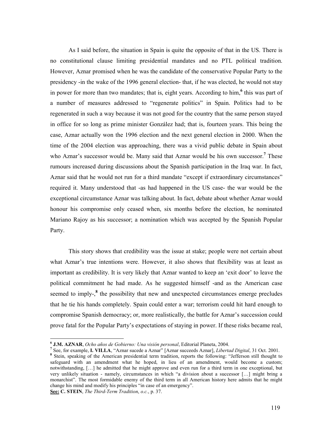As I said before, the situation in Spain is quite the opposite of that in the US. There is no constitutional clause limiting presidential mandates and no PTL political tradition. However, Aznar promised when he was the candidate of the conservative Popular Party to the presidency -in the wake of the 1996 general election- that, if he was elected, he would not stay in power for more than two mandates; that is, eight years. According to him,<sup>6</sup> this was part of a number of measures addressed to "regenerate politics" in Spain. Politics had to be regenerated in such a way because it was not good for the country that the same person stayed in office for so long as prime minister González had; that is, fourteen years. This being the case, Aznar actually won the 1996 election and the next general election in 2000. When the time of the 2004 election was approaching, there was a vivid public debate in Spain about who Aznar's successor would be. Many said that Aznar would be his own successor.<sup>7</sup> These rumours increased during discussions about the Spanish participation in the Iraq war. In fact, Aznar said that he would not run for a third mandate "except if extraordinary circumstances" required it. Many understood that -as had happened in the US case- the war would be the exceptional circumstance Aznar was talking about. In fact, debate about whether Aznar would honour his compromise only ceased when, six months before the election, he nominated Mariano Rajoy as his successor; a nomination which was accepted by the Spanish Popular Party.

This story shows that credibility was the issue at stake; people were not certain about what Aznar's true intentions were. However, it also shows that flexibility was at least as important as credibility. It is very likely that Aznar wanted to keep an 'exit door' to leave the political commitment he had made. As he suggested himself -and as the American case seemed to imply- $<sup>8</sup>$  the possibility that new and unexpected circumstances emerge precludes</sup> that he tie his hands completely. Spain could enter a war; terrorism could hit hard enough to compromise Spanish democracy; or, more realistically, the battle for Aznar's succession could prove fatal for the Popular Party's expectations of staying in power. If these risks became real,

<sup>&</sup>lt;sup>6</sup> J.M. AZNAR, Ocho años de Gobierno: Una visión personal, Editorial Planeta, 2004.

<sup>&</sup>lt;sup>7</sup> See, for example, **I. VILLA**, "Aznar sucede a Aznar" [Aznar succeeds Aznar], *Libertad Digital*, 31 Oct. 2001.

<sup>&</sup>lt;sup>8</sup> Stein, speaking of the American presidential term tradition, reports the following: "Jefferson still thought to safeguard with an amendment what he hoped, in lieu of an amendment, would become a custom; notwithstanding, […] he admitted that he might approve and even run for a third term in one exceptional, but very unlikely situation - namely, circumstances in which "a division about a successor […] might bring a monarchist". The most formidable enemy of the third term in all American history here admits that he might change his mind and modify his principles "in case of an emergency".

See: C. STEIN, The Third-Term Tradition, o.c., p. 37.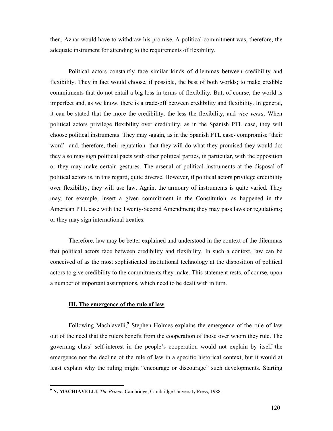then, Aznar would have to withdraw his promise. A political commitment was, therefore, the adequate instrument for attending to the requirements of flexibility.

Political actors constantly face similar kinds of dilemmas between credibility and flexibility. They in fact would choose, if possible, the best of both worlds; to make credible commitments that do not entail a big loss in terms of flexibility. But, of course, the world is imperfect and, as we know, there is a trade-off between credibility and flexibility. In general, it can be stated that the more the credibility, the less the flexibility, and vice versa. When political actors privilege flexibility over credibility, as in the Spanish PTL case, they will choose political instruments. They may -again, as in the Spanish PTL case- compromise 'their word' -and, therefore, their reputation- that they will do what they promised they would do; they also may sign political pacts with other political parties, in particular, with the opposition or they may make certain gestures. The arsenal of political instruments at the disposal of political actors is, in this regard, quite diverse. However, if political actors privilege credibility over flexibility, they will use law. Again, the armoury of instruments is quite varied. They may, for example, insert a given commitment in the Constitution, as happened in the American PTL case with the Twenty-Second Amendment; they may pass laws or regulations; or they may sign international treaties.

Therefore, law may be better explained and understood in the context of the dilemmas that political actors face between credibility and flexibility. In such a context, law can be conceived of as the most sophisticated institutional technology at the disposition of political actors to give credibility to the commitments they make. This statement rests, of course, upon a number of important assumptions, which need to be dealt with in turn.

#### III. The emergence of the rule of law

 $\overline{a}$ 

Following Machiavelli,<sup>9</sup> Stephen Holmes explains the emergence of the rule of law out of the need that the rulers benefit from the cooperation of those over whom they rule. The governing class' self-interest in the people's cooperation would not explain by itself the emergence nor the decline of the rule of law in a specific historical context, but it would at least explain why the ruling might "encourage or discourage" such developments. Starting

<sup>&</sup>lt;sup>9</sup> N. MACHIAVELLI, *The Prince*, Cambridge, Cambridge University Press, 1988.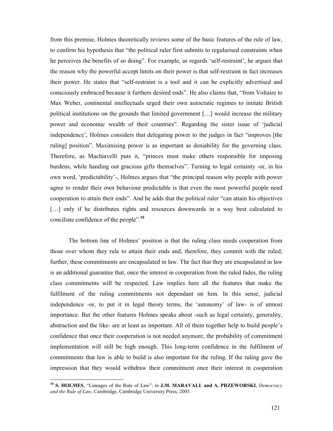from this premise, Holmes theoretically reviews some of the basic features of the rule of law, to confirm his hypothesis that "the political ruler first submits to regularised constraints when he perceives the benefits of so doing". For example, as regards 'self-restraint', he argues that the reason why the powerful accept limits on their power is that self-restraint in fact increases their power. He states that "self-restraint is a tool and it can be explicitly advertised and consciously embraced because it furthers desired ends". He also claims that, "from Voltaire to Max Weber, continental intellectuals urged their own autocratic regimes to imitate British political institutions on the grounds that limited government […] would increase the military power and economic wealth of their countries". Regarding the sister issue of 'judicial independence', Holmes considers that delegating power to the judges in fact "improves [the ruling] position". Maximising power is as important as deniability for the governing class. Therefore, as Machiavelli puts it, "princes must make others responsible for imposing burdens, while handing out gracious gifts themselves". Turning to legal certainty -or, in his own word, 'predictability'-, Holmes argues that "the principal reason why people with power agree to render their own behaviour predictable is that even the most powerful people need cooperation to attain their ends". And he adds that the political ruler "can attain his objectives [...] only if he distributes rights and resources downwards in a way best calculated to conciliate confidence of the people".<sup>10</sup>

The bottom line of Holmes' position is that the ruling class needs cooperation from those over whom they rule to attain their ends and, therefore, they commit with the ruled; further, these commitments are encapsulated in law. The fact that they are encapsulated in law is an additional guarantee that, once the interest in cooperation from the ruled fades, the ruling class commitments will be respected. Law implies here all the features that make the fulfilment of the ruling commitments not dependant on him. In this sense, judicial independence -or, to put it in legal theory terms, the 'autonomy' of law- is of utmost importance. But the other features Holmes speaks about -such as legal certainty, generality, abstraction and the like- are at least as important. All of them together help to build people's confidence that once their cooperation is not needed anymore, the probability of commitment implementation will still be high enough. This long-term confidence in the fulfilment of commitments that law is able to build is also important for the ruling. If the ruling gave the impression that they would withdraw their commitment once their interest in cooperation

<sup>&</sup>lt;sup>10</sup> S. HOLMES, "Lineages of the Rule of Law", in J.M. MARAVALL and A. PRZEWORSKI, Democracy and the Rule of Law, Cambridge, Cambridge University Press, 2003.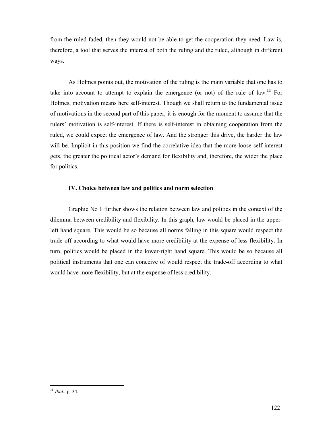from the ruled faded, then they would not be able to get the cooperation they need. Law is, therefore, a tool that serves the interest of both the ruling and the ruled, although in different ways.

As Holmes points out, the motivation of the ruling is the main variable that one has to take into account to attempt to explain the emergence (or not) of the rule of law.<sup>11</sup> For Holmes, motivation means here self-interest. Though we shall return to the fundamental issue of motivations in the second part of this paper, it is enough for the moment to assume that the rulers' motivation is self-interest. If there is self-interest in obtaining cooperation from the ruled, we could expect the emergence of law. And the stronger this drive, the harder the law will be. Implicit in this position we find the correlative idea that the more loose self-interest gets, the greater the political actor's demand for flexibility and, therefore, the wider the place for politics.

## IV. Choice between law and politics and norm selection

Graphic No 1 further shows the relation between law and politics in the context of the dilemma between credibility and flexibility. In this graph, law would be placed in the upperleft hand square. This would be so because all norms falling in this square would respect the trade-off according to what would have more credibility at the expense of less flexibility. In turn, politics would be placed in the lower-right hand square. This would be so because all political instruments that one can conceive of would respect the trade-off according to what would have more flexibility, but at the expense of less credibility.

 $\overline{a}$  $11$  *Ibid.*, p. 34.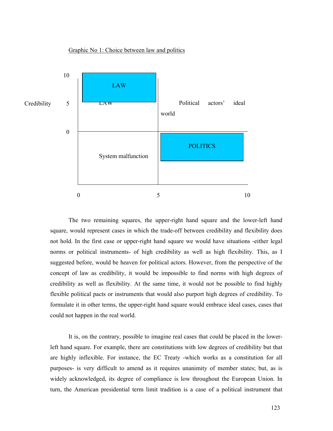



The two remaining squares, the upper-right hand square and the lower-left hand square, would represent cases in which the trade-off between credibility and flexibility does not hold. In the first case or upper-right hand square we would have situations -either legal norms or political instruments- of high credibility as well as high flexibility. This, as I suggested before, would be heaven for political actors. However, from the perspective of the concept of law as credibility, it would be impossible to find norms with high degrees of credibility as well as flexibility. At the same time, it would not be possible to find highly flexible political pacts or instruments that would also purport high degrees of credibility. To formulate it in other terms, the upper-right hand square would embrace ideal cases, cases that could not happen in the real world.

It is, on the contrary, possible to imagine real cases that could be placed in the lowerleft hand square. For example, there are constitutions with low degrees of credibility but that are highly inflexible. For instance, the EC Treaty -which works as a constitution for all purposes- is very difficult to amend as it requires unanimity of member states; but, as is widely acknowledged, its degree of compliance is low throughout the European Union. In turn, the American presidential term limit tradition is a case of a political instrument that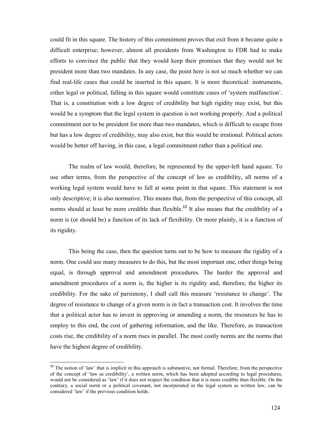could fit in this square. The history of this commitment proves that exit from it became quite a difficult enterprise; however, almost all presidents from Washington to FDR had to make efforts to convince the public that they would keep their promises that they would not be president more than two mandates. In any case, the point here is not so much whether we can find real-life cases that could be inserted in this square. It is more theoretical: instruments, either legal or political, falling in this square would constitute cases of 'system malfunction'. That is, a constitution with a low degree of credibility but high rigidity may exist, but this would be a symptom that the legal system in question is not working properly. And a political commitment not to be president for more than two mandates, which is difficult to escape from but has a low degree of credibility, may also exist, but this would be irrational. Political actors would be better off having, in this case, a legal commitment rather than a political one.

The realm of law would, therefore, be represented by the upper-left hand square. To use other terms, from the perspective of the concept of law as credibility, all norms of a working legal system would have to fall at some point in that square. This statement is not only descriptive; it is also normative. This means that, from the perspective of this concept, all norms should at least be more credible than flexible.<sup>12</sup> It also means that the credibility of a norm is (or should be) a function of its lack of flexibility. Or more plainly, it is a function of its rigidity.

This being the case, then the question turns out to be how to measure the rigidity of a norm. One could use many measures to do this, but the most important one, other things being equal, is through approval and amendment procedures. The harder the approval and amendment procedures of a norm is, the higher is its rigidity and, therefore, the higher its credibility. For the sake of parsimony, I shall call this measure 'resistance to change'. The degree of resistance to change of a given norm is in fact a transaction cost. It involves the time that a political actor has to invest in approving or amending a norm, the resources he has to employ to this end, the cost of gathering information, and the like. Therefore, as transaction costs rise, the credibility of a norm rises in parallel. The most costly norms are the norms that have the highest degree of credibility.

<sup>&</sup>lt;sup>12</sup> The notion of 'law' that is implicit in this approach is substantive, not formal. Therefore, from the perspective of the concept of 'law as credibility', a written norm, which has been adopted according to legal procedures, would not be considered as 'law' if it does not respect the condition that it is more credible than flexible. On the contrary, a social norm or a political covenant, not incorporated in the legal system as written law, can be considered 'law' if the previous condition holds.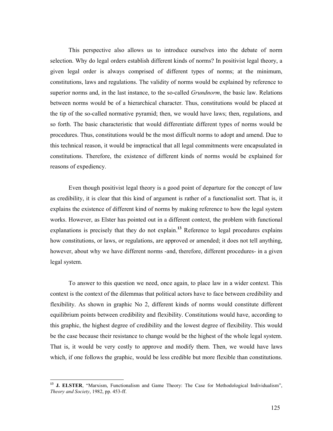This perspective also allows us to introduce ourselves into the debate of norm selection. Why do legal orders establish different kinds of norms? In positivist legal theory, a given legal order is always comprised of different types of norms; at the minimum, constitutions, laws and regulations. The validity of norms would be explained by reference to superior norms and, in the last instance, to the so-called *Grundnorm*, the basic law. Relations between norms would be of a hierarchical character. Thus, constitutions would be placed at the tip of the so-called normative pyramid; then, we would have laws; then, regulations, and so forth. The basic characteristic that would differentiate different types of norms would be procedures. Thus, constitutions would be the most difficult norms to adopt and amend. Due to this technical reason, it would be impractical that all legal commitments were encapsulated in constitutions. Therefore, the existence of different kinds of norms would be explained for reasons of expediency.

Even though positivist legal theory is a good point of departure for the concept of law as credibility, it is clear that this kind of argument is rather of a functionalist sort. That is, it explains the existence of different kind of norms by making reference to how the legal system works. However, as Elster has pointed out in a different context, the problem with functional explanations is precisely that they do not explain.<sup>13</sup> Reference to legal procedures explains how constitutions, or laws, or regulations, are approved or amended; it does not tell anything, however, about why we have different norms -and, therefore, different procedures- in a given legal system.

To answer to this question we need, once again, to place law in a wider context. This context is the context of the dilemmas that political actors have to face between credibility and flexibility. As shown in graphic No 2, different kinds of norms would constitute different equilibrium points between credibility and flexibility. Constitutions would have, according to this graphic, the highest degree of credibility and the lowest degree of flexibility. This would be the case because their resistance to change would be the highest of the whole legal system. That is, it would be very costly to approve and modify them. Then, we would have laws which, if one follows the graphic, would be less credible but more flexible than constitutions.

<sup>&</sup>lt;sup>13</sup> J. ELSTER, "Marxism, Functionalism and Game Theory: The Case for Methodological Individualism", Theory and Society, 1982, pp. 453-ff.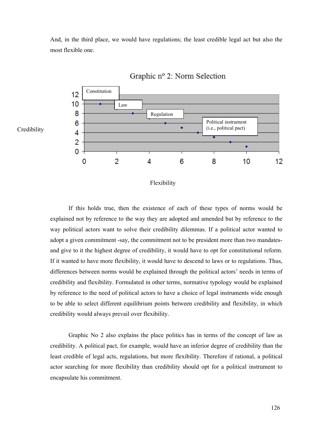And, in the third place, we would have regulations; the least credible legal act but also the most flexible one.



# Graphic nº 2: Norm Selection

#### Flexibility

If this holds true, then the existence of each of these types of norms would be explained not by reference to the way they are adopted and amended but by reference to the way political actors want to solve their credibility dilemmas. If a political actor wanted to adopt a given commitment -say, the commitment not to be president more than two mandatesand give to it the highest degree of credibility, it would have to opt for constitutional reform. If it wanted to have more flexibility, it would have to descend to laws or to regulations. Thus, differences between norms would be explained through the political actors' needs in terms of credibility and flexibility. Formulated in other terms, normative typology would be explained by reference to the need of political actors to have a choice of legal instruments wide enough to be able to select different equilibrium points between credibility and flexibility, in which credibility would always prevail over flexibility.

Graphic No 2 also explains the place politics has in terms of the concept of law as credibility. A political pact, for example, would have an inferior degree of credibility than the least credible of legal acts, regulations, but more flexibility. Therefore if rational, a political actor searching for more flexibility than credibility should opt for a political instrument to encapsulate his commitment.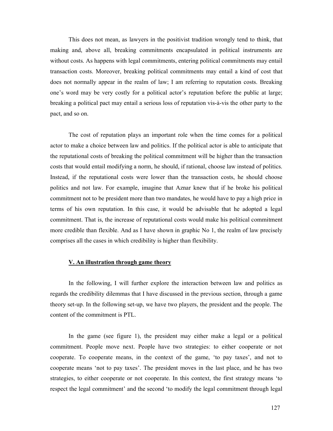This does not mean, as lawyers in the positivist tradition wrongly tend to think, that making and, above all, breaking commitments encapsulated in political instruments are without costs. As happens with legal commitments, entering political commitments may entail transaction costs. Moreover, breaking political commitments may entail a kind of cost that does not normally appear in the realm of law; I am referring to reputation costs. Breaking one's word may be very costly for a political actor's reputation before the public at large; breaking a political pact may entail a serious loss of reputation vis-à-vis the other party to the pact, and so on.

The cost of reputation plays an important role when the time comes for a political actor to make a choice between law and politics. If the political actor is able to anticipate that the reputational costs of breaking the political commitment will be higher than the transaction costs that would entail modifying a norm, he should, if rational, choose law instead of politics. Instead, if the reputational costs were lower than the transaction costs, he should choose politics and not law. For example, imagine that Aznar knew that if he broke his political commitment not to be president more than two mandates, he would have to pay a high price in terms of his own reputation. In this case, it would be advisable that he adopted a legal commitment. That is, the increase of reputational costs would make his political commitment more credible than flexible. And as I have shown in graphic No 1, the realm of law precisely comprises all the cases in which credibility is higher than flexibility.

#### V. An illustration through game theory

In the following, I will further explore the interaction between law and politics as regards the credibility dilemmas that I have discussed in the previous section, through a game theory set-up. In the following set-up, we have two players, the president and the people. The content of the commitment is PTL.

In the game (see figure 1), the president may either make a legal or a political commitment. People move next. People have two strategies: to either cooperate or not cooperate. To cooperate means, in the context of the game, 'to pay taxes', and not to cooperate means 'not to pay taxes'. The president moves in the last place, and he has two strategies, to either cooperate or not cooperate. In this context, the first strategy means 'to respect the legal commitment' and the second 'to modify the legal commitment through legal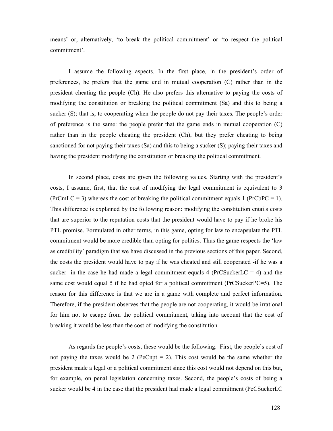means' or, alternatively, 'to break the political commitment' or 'to respect the political commitment'.

I assume the following aspects. In the first place, in the president's order of preferences, he prefers that the game end in mutual cooperation (C) rather than in the president cheating the people (Ch). He also prefers this alternative to paying the costs of modifying the constitution or breaking the political commitment (Sa) and this to being a sucker (S); that is, to cooperating when the people do not pay their taxes. The people's order of preference is the same: the people prefer that the game ends in mutual cooperation (C) rather than in the people cheating the president (Ch), but they prefer cheating to being sanctioned for not paying their taxes (Sa) and this to being a sucker (S); paying their taxes and having the president modifying the constitution or breaking the political commitment.

In second place, costs are given the following values. Starting with the president's costs, I assume, first, that the cost of modifying the legal commitment is equivalent to 3  $(PrCmLC = 3)$  whereas the cost of breaking the political commitment equals 1 (PrCbPC = 1). This difference is explained by the following reason: modifying the constitution entails costs that are superior to the reputation costs that the president would have to pay if he broke his PTL promise. Formulated in other terms, in this game, opting for law to encapsulate the PTL commitment would be more credible than opting for politics. Thus the game respects the 'law as credibility' paradigm that we have discussed in the previous sections of this paper. Second, the costs the president would have to pay if he was cheated and still cooperated -if he was a sucker- in the case he had made a legal commitment equals 4 (PrCSuckerLC  $=$  4) and the same cost would equal 5 if he had opted for a political commitment (PrCSuckerPC=5). The reason for this difference is that we are in a game with complete and perfect information. Therefore, if the president observes that the people are not cooperating, it would be irrational for him not to escape from the political commitment, taking into account that the cost of breaking it would be less than the cost of modifying the constitution.

As regards the people's costs, these would be the following. First, the people's cost of not paying the taxes would be 2 (PeCnpt  $= 2$ ). This cost would be the same whether the president made a legal or a political commitment since this cost would not depend on this but, for example, on penal legislation concerning taxes. Second, the people's costs of being a sucker would be 4 in the case that the president had made a legal commitment (PeCSuckerLC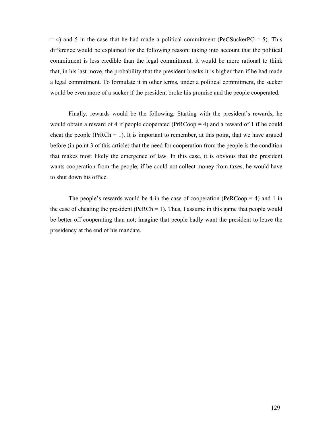$= 4$ ) and 5 in the case that he had made a political commitment (PeCSuckerPC  $= 5$ ). This difference would be explained for the following reason: taking into account that the political commitment is less credible than the legal commitment, it would be more rational to think that, in his last move, the probability that the president breaks it is higher than if he had made a legal commitment. To formulate it in other terms, under a political commitment, the sucker would be even more of a sucker if the president broke his promise and the people cooperated.

Finally, rewards would be the following. Starting with the president's rewards, he would obtain a reward of 4 if people cooperated ( $PrRCoop = 4$ ) and a reward of 1 if he could cheat the people (PrRCh  $= 1$ ). It is important to remember, at this point, that we have argued before (in point 3 of this article) that the need for cooperation from the people is the condition that makes most likely the emergence of law. In this case, it is obvious that the president wants cooperation from the people; if he could not collect money from taxes, he would have to shut down his office.

The people's rewards would be 4 in the case of cooperation (PeRCoop  $=$  4) and 1 in the case of cheating the president (PeRCh  $= 1$ ). Thus, I assume in this game that people would be better off cooperating than not; imagine that people badly want the president to leave the presidency at the end of his mandate.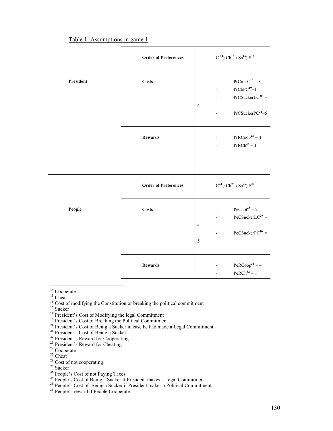Table 1: Assumptions in game 1

|           | <b>Order of Preferences</b> | $\mathrm{C}$ $^{14}\rangle\,\mathrm{Ch}^{15}$ $\rangle$ $\mathrm{Sa}^{16}\rangle$ $\mathrm{S}^{17}$                    |
|-----------|-----------------------------|------------------------------------------------------------------------------------------------------------------------|
| President | <b>Costs</b>                | $PrCmLC^{18} = 3$<br>${\rm PrCbPC^{19}}\!\!=\!\!1$<br>$PrCSucker LC^{20} =$<br>$\overline{4}$<br>$PrCSucker PC^{21}=5$ |
|           | <b>Rewards</b>              | $PrRCoop22 = 4$<br>$PrRCh^{23} = 1$                                                                                    |
|           | <b>Order of Preferences</b> | $\mathbf{C}^{24}\rangle\mathbf{Ch}^{25}\rangle\mathbf{Sa}^{26}\rangle\mathbf{S}^{27}$                                  |
| People    | <b>Costs</b>                | $PeCnpt^{28} = 2$<br>$PeCSucker LC^{29} =$<br>ä,<br>$\overline{4}$<br>$PeCSuckerPC30 =$<br>5                           |
|           | <b>Rewards</b>              | $PeRCoop31 = 4$<br>$PeRCh^{32} = 1$                                                                                    |

<sup>14</sup> Cooperate

 $15$  Cheat

 $\overline{a}$ 

<sup>16</sup> Cost of modifying the Constitution or breaking the political commitment

<sup>17</sup> Sucker

- <sup>18</sup> President's Cost of Modifying the legal Commitment
- <sup>19</sup> President's Cost of Breaking the Political Commitment
- $20$  President's Cost of Being a Sucker in case he had made a Legal Commitment

<sup>21</sup> President's Cost of Being a Sucker

- <sup>22</sup> President's Reward for Cooperating
- <sup>23</sup> President's Reward for Cheating <sup>23</sup> President's Reward for Cheating<br><sup>24</sup> Cooperate
- 
- <sup>25</sup> Cheat
- <sup>26</sup> Cost of not cooperating
- $27 \text{ Sucker}$
- <sup>28</sup> People's Cost of not Paying Taxes
- <sup>29</sup> People's Cost of Being a Sucker if President makes a Legal Commitment

<sup>30</sup> People's Cost of Being a Sucker if President makes a Political Commitment

<sup>31</sup> People's reward if People Cooperate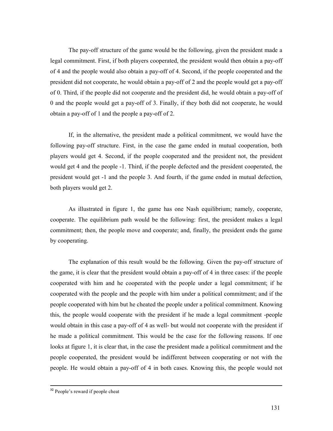The pay-off structure of the game would be the following, given the president made a legal commitment. First, if both players cooperated, the president would then obtain a pay-off of 4 and the people would also obtain a pay-off of 4. Second, if the people cooperated and the president did not cooperate, he would obtain a pay-off of 2 and the people would get a pay-off of 0. Third, if the people did not cooperate and the president did, he would obtain a pay-off of 0 and the people would get a pay-off of 3. Finally, if they both did not cooperate, he would obtain a pay-off of 1 and the people a pay-off of 2.

If, in the alternative, the president made a political commitment, we would have the following pay-off structure. First, in the case the game ended in mutual cooperation, both players would get 4. Second, if the people cooperated and the president not, the president would get 4 and the people -1. Third, if the people defected and the president cooperated, the president would get -1 and the people 3. And fourth, if the game ended in mutual defection, both players would get 2.

As illustrated in figure 1, the game has one Nash equilibrium; namely, cooperate, cooperate. The equilibrium path would be the following: first, the president makes a legal commitment; then, the people move and cooperate; and, finally, the president ends the game by cooperating.

The explanation of this result would be the following. Given the pay-off structure of the game, it is clear that the president would obtain a pay-off of 4 in three cases: if the people cooperated with him and he cooperated with the people under a legal commitment; if he cooperated with the people and the people with him under a political commitment; and if the people cooperated with him but he cheated the people under a political commitment. Knowing this, the people would cooperate with the president if he made a legal commitment -people would obtain in this case a pay-off of 4 as well- but would not cooperate with the president if he made a political commitment. This would be the case for the following reasons. If one looks at figure 1, it is clear that, in the case the president made a political commitment and the people cooperated, the president would be indifferent between cooperating or not with the people. He would obtain a pay-off of 4 in both cases. Knowing this, the people would not

<sup>&</sup>lt;sup>32</sup> People's reward if people cheat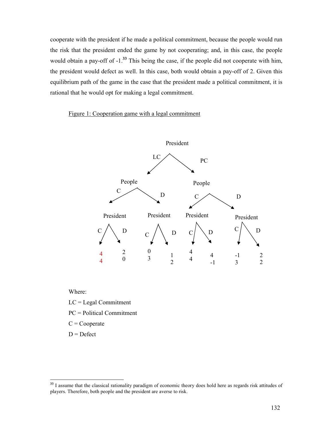cooperate with the president if he made a political commitment, because the people would run the risk that the president ended the game by not cooperating; and, in this case, the people would obtain a pay-off of  $-1$ <sup>33</sup>. This being the case, if the people did not cooperate with him, the president would defect as well. In this case, both would obtain a pay-off of 2. Given this equilibrium path of the game in the case that the president made a political commitment, it is rational that he would opt for making a legal commitment.

#### Figure 1: Cooperation game with a legal commitment



Where:

LC = Legal Commitment

PC = Political Commitment

 $C = Cooperate$ 

 $D = Defect$ 

<sup>&</sup>lt;sup>33</sup> I assume that the classical rationality paradigm of economic theory does hold here as regards risk attitudes of players. Therefore, both people and the president are averse to risk.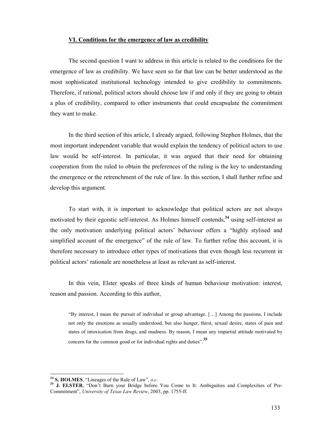#### VI. Conditions for the emergence of law as credibility

The second question I want to address in this article is related to the conditions for the emergence of law as credibility. We have seen so far that law can be better understood as the most sophisticated institutional technology intended to give credibility to commitments. Therefore, if rational, political actors should choose law if and only if they are going to obtain a plus of credibility, compared to other instruments that could encapsulate the commitment they want to make.

In the third section of this article, I already argued, following Stephen Holmes, that the most important independent variable that would explain the tendency of political actors to use law would be self-interest. In particular, it was argued that their need for obtaining cooperation from the ruled to obtain the preferences of the ruling is the key to understanding the emergence or the retrenchment of the rule of law. In this section, I shall further refine and develop this argument.

To start with, it is important to acknowledge that political actors are not always motivated by their egoistic self-interest. As Holmes himself contends,<sup>34</sup> using self-interest as the only motivation underlying political actors' behaviour offers a "highly stylised and simplified account of the emergence" of the rule of law. To further refine this account, it is therefore necessary to introduce other types of motivations that even though less recurrent in political actors' rationale are nonetheless at least as relevant as self-interest.

In this vein, Elster speaks of three kinds of human behaviour motivation: interest, reason and passion. According to this author,

"By interest, I mean the pursuit of individual or group advantage. […] Among the passions, I include not only the emotions as usually understood, but also hunger, thirst, sexual desire, states of pain and states of intoxication from drugs, and madness. By reason, I mean any impartial attitude motivated by concern for the common good or for individual rights and duties".<sup>35</sup>

 $3<sup>34</sup>$  S. HOLMES, "Lineages of the Rule of Law", o.c.

<sup>&</sup>lt;sup>35</sup> J. ELSTER, "Don't Burn your Bridge before You Come to It: Ambiguities and Complexities of Pre-Commitment", University of Texas Law Review, 2003, pp. 1755-ff.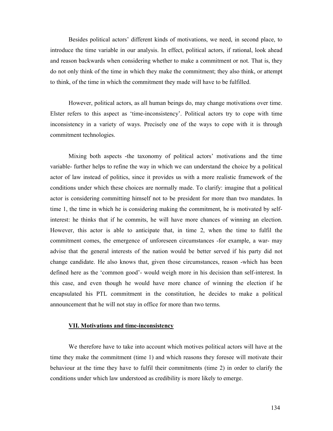Besides political actors' different kinds of motivations, we need, in second place, to introduce the time variable in our analysis. In effect, political actors, if rational, look ahead and reason backwards when considering whether to make a commitment or not. That is, they do not only think of the time in which they make the commitment; they also think, or attempt to think, of the time in which the commitment they made will have to be fulfilled.

However, political actors, as all human beings do, may change motivations over time. Elster refers to this aspect as 'time-inconsistency'. Political actors try to cope with time inconsistency in a variety of ways. Precisely one of the ways to cope with it is through commitment technologies.

Mixing both aspects -the taxonomy of political actors' motivations and the time variable- further helps to refine the way in which we can understand the choice by a political actor of law instead of politics, since it provides us with a more realistic framework of the conditions under which these choices are normally made. To clarify: imagine that a political actor is considering committing himself not to be president for more than two mandates. In time 1, the time in which he is considering making the commitment, he is motivated by selfinterest: he thinks that if he commits, he will have more chances of winning an election. However, this actor is able to anticipate that, in time 2, when the time to fulfil the commitment comes, the emergence of unforeseen circumstances -for example, a war- may advise that the general interests of the nation would be better served if his party did not change candidate. He also knows that, given those circumstances, reason -which has been defined here as the 'common good'- would weigh more in his decision than self-interest. In this case, and even though he would have more chance of winning the election if he encapsulated his PTL commitment in the constitution, he decides to make a political announcement that he will not stay in office for more than two terms.

#### VII. Motivations and time-inconsistency

We therefore have to take into account which motives political actors will have at the time they make the commitment (time 1) and which reasons they foresee will motivate their behaviour at the time they have to fulfil their commitments (time 2) in order to clarify the conditions under which law understood as credibility is more likely to emerge.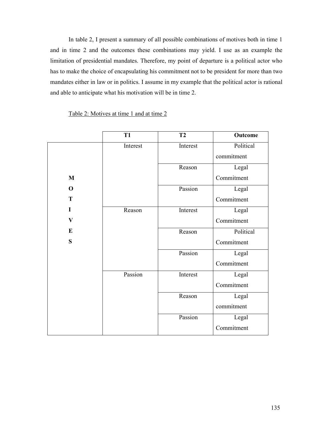In table 2, I present a summary of all possible combinations of motives both in time 1 and in time 2 and the outcomes these combinations may yield. I use as an example the limitation of presidential mandates. Therefore, my point of departure is a political actor who has to make the choice of encapsulating his commitment not to be president for more than two mandates either in law or in politics. I assume in my example that the political actor is rational and able to anticipate what his motivation will be in time 2.

|              | T <sub>1</sub> | T2       | Outcome    |
|--------------|----------------|----------|------------|
|              | Interest       | Interest | Political  |
|              |                |          | commitment |
|              |                | Reason   | Legal      |
| $\bf{M}$     |                |          | Commitment |
| $\mathbf 0$  |                | Passion  | Legal      |
| T            |                |          | Commitment |
| I            | Reason         | Interest | Legal      |
| $\mathbf{V}$ |                |          | Commitment |
| $\bf{E}$     |                | Reason   | Political  |
| ${\bf S}$    |                |          | Commitment |
|              |                | Passion  | Legal      |
|              |                |          | Commitment |
|              | Passion        | Interest | Legal      |
|              |                |          | Commitment |
|              |                | Reason   | Legal      |
|              |                |          | commitment |
|              |                | Passion  | Legal      |
|              |                |          | Commitment |

Table 2: Motives at time 1 and at time 2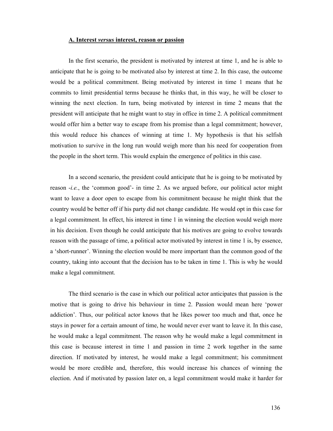#### A. Interest versus interest, reason or passion

In the first scenario, the president is motivated by interest at time 1, and he is able to anticipate that he is going to be motivated also by interest at time 2. In this case, the outcome would be a political commitment. Being motivated by interest in time 1 means that he commits to limit presidential terms because he thinks that, in this way, he will be closer to winning the next election. In turn, being motivated by interest in time 2 means that the president will anticipate that he might want to stay in office in time 2. A political commitment would offer him a better way to escape from his promise than a legal commitment; however, this would reduce his chances of winning at time 1. My hypothesis is that his selfish motivation to survive in the long run would weigh more than his need for cooperation from the people in the short term. This would explain the emergence of politics in this case.

In a second scenario, the president could anticipate that he is going to be motivated by reason -i.e., the 'common good'- in time 2. As we argued before, our political actor might want to leave a door open to escape from his commitment because he might think that the country would be better off if his party did not change candidate. He would opt in this case for a legal commitment. In effect, his interest in time 1 in winning the election would weigh more in his decision. Even though he could anticipate that his motives are going to evolve towards reason with the passage of time, a political actor motivated by interest in time 1 is, by essence, a 'short-runner'. Winning the election would be more important than the common good of the country, taking into account that the decision has to be taken in time 1. This is why he would make a legal commitment.

The third scenario is the case in which our political actor anticipates that passion is the motive that is going to drive his behaviour in time 2. Passion would mean here 'power addiction'. Thus, our political actor knows that he likes power too much and that, once he stays in power for a certain amount of time, he would never ever want to leave it. In this case, he would make a legal commitment. The reason why he would make a legal commitment in this case is because interest in time 1 and passion in time 2 work together in the same direction. If motivated by interest, he would make a legal commitment; his commitment would be more credible and, therefore, this would increase his chances of winning the election. And if motivated by passion later on, a legal commitment would make it harder for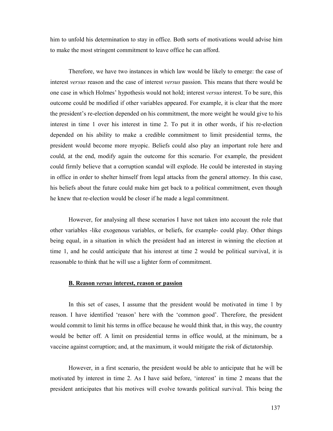him to unfold his determination to stay in office. Both sorts of motivations would advise him to make the most stringent commitment to leave office he can afford.

Therefore, we have two instances in which law would be likely to emerge: the case of interest versus reason and the case of interest versus passion. This means that there would be one case in which Holmes' hypothesis would not hold; interest versus interest. To be sure, this outcome could be modified if other variables appeared. For example, it is clear that the more the president's re-election depended on his commitment, the more weight he would give to his interest in time 1 over his interest in time 2. To put it in other words, if his re-election depended on his ability to make a credible commitment to limit presidential terms, the president would become more myopic. Beliefs could also play an important role here and could, at the end, modify again the outcome for this scenario. For example, the president could firmly believe that a corruption scandal will explode. He could be interested in staying in office in order to shelter himself from legal attacks from the general attorney. In this case, his beliefs about the future could make him get back to a political commitment, even though he knew that re-election would be closer if he made a legal commitment.

However, for analysing all these scenarios I have not taken into account the role that other variables -like exogenous variables, or beliefs, for example- could play. Other things being equal, in a situation in which the president had an interest in winning the election at time 1, and he could anticipate that his interest at time 2 would be political survival, it is reasonable to think that he will use a lighter form of commitment.

#### B. Reason versus interest, reason or passion

In this set of cases, I assume that the president would be motivated in time 1 by reason. I have identified 'reason' here with the 'common good'. Therefore, the president would commit to limit his terms in office because he would think that, in this way, the country would be better off. A limit on presidential terms in office would, at the minimum, be a vaccine against corruption; and, at the maximum, it would mitigate the risk of dictatorship.

However, in a first scenario, the president would be able to anticipate that he will be motivated by interest in time 2. As I have said before, 'interest' in time 2 means that the president anticipates that his motives will evolve towards political survival. This being the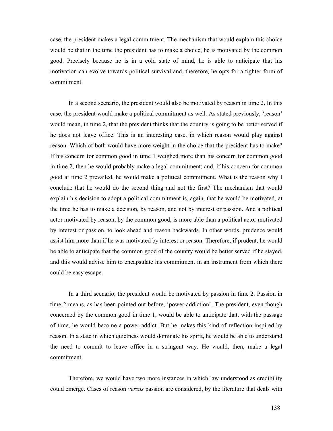case, the president makes a legal commitment. The mechanism that would explain this choice would be that in the time the president has to make a choice, he is motivated by the common good. Precisely because he is in a cold state of mind, he is able to anticipate that his motivation can evolve towards political survival and, therefore, he opts for a tighter form of commitment.

In a second scenario, the president would also be motivated by reason in time 2. In this case, the president would make a political commitment as well. As stated previously, 'reason' would mean, in time 2, that the president thinks that the country is going to be better served if he does not leave office. This is an interesting case, in which reason would play against reason. Which of both would have more weight in the choice that the president has to make? If his concern for common good in time 1 weighed more than his concern for common good in time 2, then he would probably make a legal commitment; and, if his concern for common good at time 2 prevailed, he would make a political commitment. What is the reason why I conclude that he would do the second thing and not the first? The mechanism that would explain his decision to adopt a political commitment is, again, that he would be motivated, at the time he has to make a decision, by reason, and not by interest or passion. And a political actor motivated by reason, by the common good, is more able than a political actor motivated by interest or passion, to look ahead and reason backwards. In other words, prudence would assist him more than if he was motivated by interest or reason. Therefore, if prudent, he would be able to anticipate that the common good of the country would be better served if he stayed, and this would advise him to encapsulate his commitment in an instrument from which there could be easy escape.

In a third scenario, the president would be motivated by passion in time 2. Passion in time 2 means, as has been pointed out before, 'power-addiction'. The president, even though concerned by the common good in time 1, would be able to anticipate that, with the passage of time, he would become a power addict. But he makes this kind of reflection inspired by reason. In a state in which quietness would dominate his spirit, he would be able to understand the need to commit to leave office in a stringent way. He would, then, make a legal commitment.

Therefore, we would have two more instances in which law understood as credibility could emerge. Cases of reason *versus* passion are considered, by the literature that deals with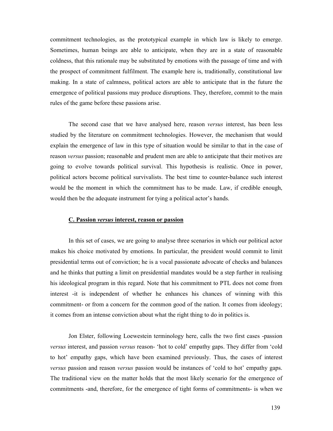commitment technologies, as the prototypical example in which law is likely to emerge. Sometimes, human beings are able to anticipate, when they are in a state of reasonable coldness, that this rationale may be substituted by emotions with the passage of time and with the prospect of commitment fulfilment. The example here is, traditionally, constitutional law making. In a state of calmness, political actors are able to anticipate that in the future the emergence of political passions may produce disruptions. They, therefore, commit to the main rules of the game before these passions arise.

The second case that we have analysed here, reason versus interest, has been less studied by the literature on commitment technologies. However, the mechanism that would explain the emergence of law in this type of situation would be similar to that in the case of reason versus passion; reasonable and prudent men are able to anticipate that their motives are going to evolve towards political survival. This hypothesis is realistic. Once in power, political actors become political survivalists. The best time to counter-balance such interest would be the moment in which the commitment has to be made. Law, if credible enough, would then be the adequate instrument for tying a political actor's hands.

#### C. Passion versus interest, reason or passion

In this set of cases, we are going to analyse three scenarios in which our political actor makes his choice motivated by emotions. In particular, the president would commit to limit presidential terms out of conviction; he is a vocal passionate advocate of checks and balances and he thinks that putting a limit on presidential mandates would be a step further in realising his ideological program in this regard. Note that his commitment to PTL does not come from interest -it is independent of whether he enhances his chances of winning with this commitment- or from a concern for the common good of the nation. It comes from ideology; it comes from an intense conviction about what the right thing to do in politics is.

Jon Elster, following Loewestein terminology here, calls the two first cases -passion versus interest, and passion versus reason- 'hot to cold' empathy gaps. They differ from 'cold to hot' empathy gaps, which have been examined previously. Thus, the cases of interest versus passion and reason versus passion would be instances of 'cold to hot' empathy gaps. The traditional view on the matter holds that the most likely scenario for the emergence of commitments -and, therefore, for the emergence of tight forms of commitments- is when we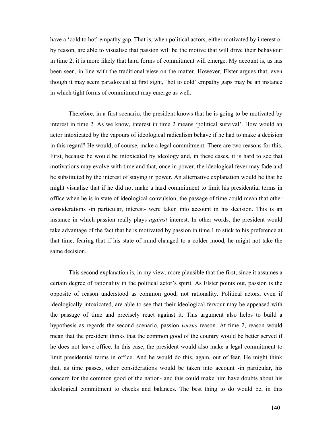have a 'cold to hot' empathy gap. That is, when political actors, either motivated by interest or by reason, are able to visualise that passion will be the motive that will drive their behaviour in time 2, it is more likely that hard forms of commitment will emerge. My account is, as has been seen, in line with the traditional view on the matter. However, Elster argues that, even though it may seem paradoxical at first sight, 'hot to cold' empathy gaps may be an instance in which tight forms of commitment may emerge as well.

Therefore, in a first scenario, the president knows that he is going to be motivated by interest in time 2. As we know, interest in time 2 means 'political survival'. How would an actor intoxicated by the vapours of ideological radicalism behave if he had to make a decision in this regard? He would, of course, make a legal commitment. There are two reasons for this. First, because he would be intoxicated by ideology and, in these cases, it is hard to see that motivations may evolve with time and that, once in power, the ideological fever may fade and be substituted by the interest of staying in power. An alternative explanation would be that he might visualise that if he did not make a hard commitment to limit his presidential terms in office when he is in state of ideological convulsion, the passage of time could mean that other considerations -in particular, interest- were taken into account in his decision. This is an instance in which passion really plays *against* interest. In other words, the president would take advantage of the fact that he is motivated by passion in time 1 to stick to his preference at that time, fearing that if his state of mind changed to a colder mood, he might not take the same decision.

This second explanation is, in my view, more plausible that the first, since it assumes a certain degree of rationality in the political actor's spirit. As Elster points out, passion is the opposite of reason understood as common good, not rationality. Political actors, even if ideologically intoxicated, are able to see that their ideological fervour may be appeased with the passage of time and precisely react against it. This argument also helps to build a hypothesis as regards the second scenario, passion versus reason. At time 2, reason would mean that the president thinks that the common good of the country would be better served if he does not leave office. In this case, the president would also make a legal commitment to limit presidential terms in office. And he would do this, again, out of fear. He might think that, as time passes, other considerations would be taken into account -in particular, his concern for the common good of the nation- and this could make him have doubts about his ideological commitment to checks and balances. The best thing to do would be, in this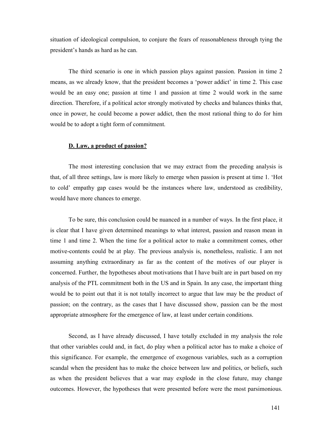situation of ideological compulsion, to conjure the fears of reasonableness through tying the president's hands as hard as he can.

The third scenario is one in which passion plays against passion. Passion in time 2 means, as we already know, that the president becomes a 'power addict' in time 2. This case would be an easy one; passion at time 1 and passion at time 2 would work in the same direction. Therefore, if a political actor strongly motivated by checks and balances thinks that, once in power, he could become a power addict, then the most rational thing to do for him would be to adopt a tight form of commitment.

#### D. Law, a product of passion?

The most interesting conclusion that we may extract from the preceding analysis is that, of all three settings, law is more likely to emerge when passion is present at time 1. 'Hot to cold' empathy gap cases would be the instances where law, understood as credibility, would have more chances to emerge.

To be sure, this conclusion could be nuanced in a number of ways. In the first place, it is clear that I have given determined meanings to what interest, passion and reason mean in time 1 and time 2. When the time for a political actor to make a commitment comes, other motive-contents could be at play. The previous analysis is, nonetheless, realistic. I am not assuming anything extraordinary as far as the content of the motives of our player is concerned. Further, the hypotheses about motivations that I have built are in part based on my analysis of the PTL commitment both in the US and in Spain. In any case, the important thing would be to point out that it is not totally incorrect to argue that law may be the product of passion; on the contrary, as the cases that I have discussed show, passion can be the most appropriate atmosphere for the emergence of law, at least under certain conditions.

Second, as I have already discussed, I have totally excluded in my analysis the role that other variables could and, in fact, do play when a political actor has to make a choice of this significance. For example, the emergence of exogenous variables, such as a corruption scandal when the president has to make the choice between law and politics, or beliefs, such as when the president believes that a war may explode in the close future, may change outcomes. However, the hypotheses that were presented before were the most parsimonious.